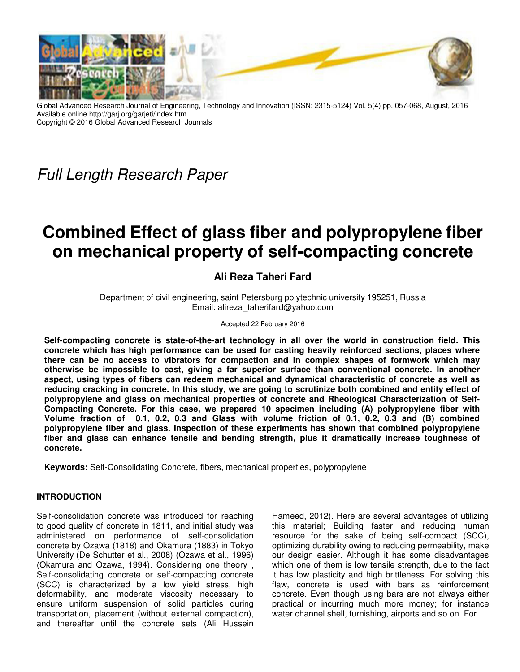

Global Advanced Research Journal of Engineering, Technology and Innovation (ISSN: 2315-5124) Vol. 5(4) pp. 057-068, August, 2016 Available online http://garj.org/garjeti/index.htm Copyright © 2016 Global Advanced Research Journals

Full Length Research Paper

# **Combined Effect of glass fiber and polypropylene fiber on mechanical property of self-compacting concrete**

# **Ali Reza Taheri Fard**

Department of civil engineering, saint Petersburg polytechnic university 195251, Russia Email: alireza\_taherifard@yahoo.com

Accepted 22 February 2016

**Self-compacting concrete is state-of-the-art technology in all over the world in construction field. This concrete which has high performance can be used for casting heavily reinforced sections, places where there can be no access to vibrators for compaction and in complex shapes of formwork which may otherwise be impossible to cast, giving a far superior surface than conventional concrete. In another aspect, using types of fibers can redeem mechanical and dynamical characteristic of concrete as well as reducing cracking in concrete. In this study, we are going to scrutinize both combined and entity effect of polypropylene and glass on mechanical properties of concrete and Rheological Characterization of Self-Compacting Concrete. For this case, we prepared 10 specimen including (A) polypropylene fiber with Volume fraction of 0.1, 0.2, 0.3 and Glass with volume friction of 0.1, 0.2, 0.3 and (B) combined polypropylene fiber and glass. Inspection of these experiments has shown that combined polypropylene fiber and glass can enhance tensile and bending strength, plus it dramatically increase toughness of concrete.** 

**Keywords:** Self-Consolidating Concrete, fibers, mechanical properties, polypropylene

### **INTRODUCTION**

Self-consolidation concrete was introduced for reaching to good quality of concrete in 1811, and initial study was administered on performance of self-consolidation concrete by Ozawa (1818) and Okamura (1883) in Tokyo University (De Schutter et al., 2008) (Ozawa et al., 1996) (Okamura and Ozawa, 1994). Considering one theory , Self-consolidating concrete or self-compacting concrete (SCC) is characterized by a low yield stress, high deformability, and moderate viscosity necessary to ensure uniform suspension of solid particles during transportation, placement (without external compaction), and thereafter until the concrete sets (Ali Hussein

Hameed, 2012). Here are several advantages of utilizing this material; Building faster and reducing human resource for the sake of being self-compact (SCC), optimizing durability owing to reducing permeability, make our design easier. Although it has some disadvantages which one of them is low tensile strength, due to the fact it has low plasticity and high brittleness. For solving this flaw, concrete is used with bars as reinforcement concrete. Even though using bars are not always either practical or incurring much more money; for instance water channel shell, furnishing, airports and so on. For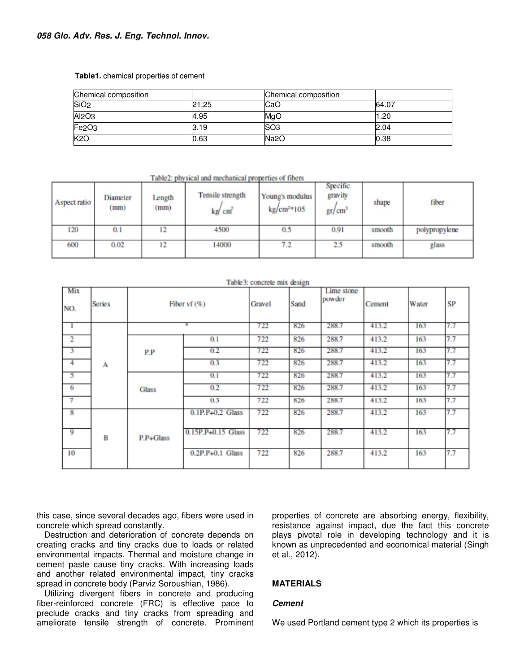#### **Table1.** chemical properties of cement

| Chemical composition           |       | Chemical composition |       |
|--------------------------------|-------|----------------------|-------|
| SiO <sub>2</sub>               | 21.25 | CaO                  | 64.07 |
| Al <sub>2</sub> O <sub>3</sub> | 4.95  | MgO                  | 20    |
| Fe <sub>2O3</sub>              | l3.19 | SO <sub>3</sub>      | 2.04  |
| K2O                            | 0.63  | Na2O                 | 0.38  |

Table2: physical and mechanical properties of fibers

| Aspect ratio | Diameter<br>(mm) | Length<br>(mm) | Tensile strength<br>kg/ cm <sup>2</sup> | Young's modulus<br>$kg/cm2$ +105 | Specific<br>gravity<br>gr/cm <sup>3</sup> | shape  | fiber         |
|--------------|------------------|----------------|-----------------------------------------|----------------------------------|-------------------------------------------|--------|---------------|
| 120          | 0.1              | 12             | 4500                                    | 0.5                              | 0.91                                      | smooth | polypropylene |
| 600          | 0.02             | 12             | 14000                                   | 7.2                              | 2.5                                       | smooth | glass         |

| Mix<br>NO.              | <b>Series</b>  | Fiber vf $(\%)$    | Gravel             | Sand | Lime stone<br>powder | Cement | Water | SP  |     |
|-------------------------|----------------|--------------------|--------------------|------|----------------------|--------|-------|-----|-----|
|                         |                |                    |                    | 722  | 826                  | 288.7  | 413.2 | 163 | 7.7 |
| $\overline{c}$          |                |                    | 0.1                | 722  | 826                  | 288.7  | 413.2 | 163 | 7.7 |
| 3                       | P.P<br>A       | 0.2                | 722                | 826  | 288.7                | 413.2  | 163   | 7.7 |     |
| $\overline{4}$          |                |                    | 0.3                | 722  | 826                  | 288.7  | 413.2 | 163 | 7.7 |
| 5                       |                |                    | 0.1                | 722  | 826                  | 288.7  | 413.2 | 163 | 7.7 |
| 6                       |                | <b>Glass</b>       | 0.2                | 722  | 826                  | 288.7  | 413.2 | 163 | 7.7 |
| 7                       |                |                    | 0.3                | 722  | 826                  | 288.7  | 413.2 | 163 | 7.7 |
| $\overline{\mathbf{8}}$ | B<br>P.P+Glass | $0.1P.P+0.2$ Glass | 722                | 826  | 288.7                | 413.2  | 163   | 7.7 |     |
| 9                       |                |                    | 0.15P.P+0.15 Glass | 722  | 826                  | 288.7  | 413.2 | 163 | 7.7 |
| 10                      |                |                    | $0.2P.P+0.1$ Glass | 722  | 826                  | 288.7  | 413.2 | 163 | 7.7 |

#### Table3: concrete mix design

this case, since several decades ago, fibers were used in concrete which spread constantly.

Destruction and deterioration of concrete depends on creating cracks and tiny cracks due to loads or related environmental impacts. Thermal and moisture change in cement paste cause tiny cracks. With increasing loads and another related environmental impact, tiny cracks spread in concrete body (Parviz Soroushian, 1986).

Utilizing divergent fibers in concrete and producing fiber-reinforced concrete (FRC) is effective pace to preclude cracks and tiny cracks from spreading and ameliorate tensile strength of concrete. Prominent properties of concrete are absorbing energy, flexibility, resistance against impact, due the fact this concrete plays pivotal role in developing technology and it is known as unprecedented and economical material (Singh et al., 2012).

# **MATERIALS**

#### **Cement**

We used Portland cement type 2 which its properties is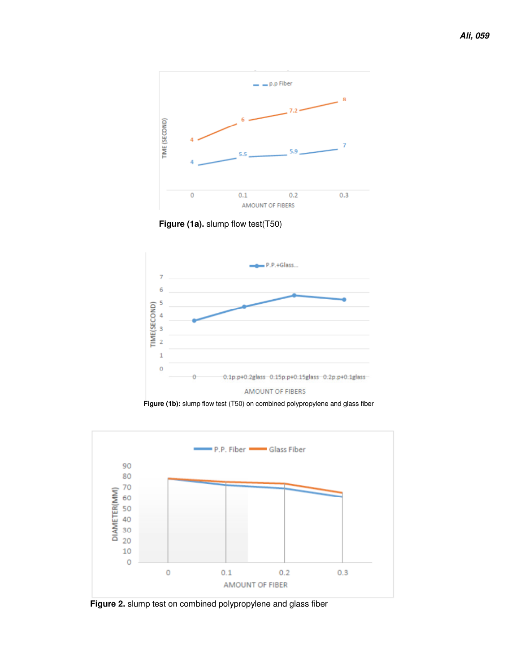





**Figure (1b):** slump flow test (T50) on combined polypropylene and glass fiber



**Figure 2.** slump test on combined polypropylene and glass fiber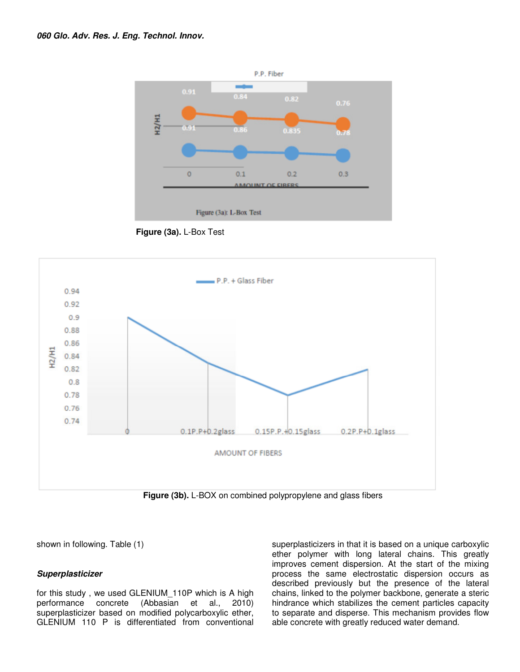

**Figure (3a).** L-Box Test



**Figure (3b).** L-BOX on combined polypropylene and glass fibers

shown in following. Table (1)

#### **Superplasticizer**

for this study , we used GLENIUM\_110P which is A high performance concrete (Abbasian et al., 2010) superplasticizer based on modified polycarboxylic ether, GLENIUM 110 P is differentiated from conventional superplasticizers in that it is based on a unique carboxylic ether polymer with long lateral chains. This greatly improves cement dispersion. At the start of the mixing process the same electrostatic dispersion occurs as described previously but the presence of the lateral chains, linked to the polymer backbone, generate a steric hindrance which stabilizes the cement particles capacity to separate and disperse. This mechanism provides flow able concrete with greatly reduced water demand.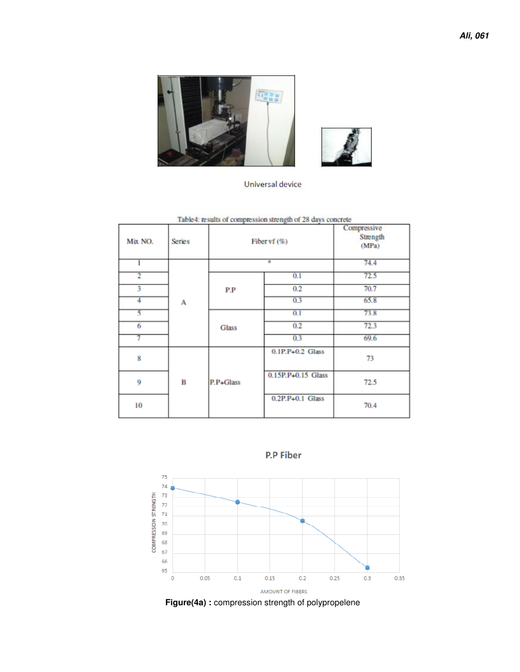



Universal device

Table4: results of compression strength of 28 days concrete

| Mix NO. | <b>Series</b> | Fiber vf (%) | Compressive<br>Strength<br>(MPa) |      |
|---------|---------------|--------------|----------------------------------|------|
|         |               |              | 74.4                             |      |
|         |               |              | 0.1                              | 72.5 |
| 3       |               | P.P          | 0.2                              | 70.7 |
| 4       | А             |              | 0.3                              | 65.8 |
| ζ       |               |              | 0.1                              | 73.8 |
| 6       |               | <b>Glass</b> | 0.2                              | 72.3 |
|         |               |              | 0.3                              | 69.6 |
| 8       |               |              | $0.1P.P+0.2$ Glass               | 73   |
| 9       | в             | P.P+Glass    | 0.15P.P+0.15 Glass               | 72.5 |
| 10      |               |              | 0.2P.P+0.1 Glass                 | 70.4 |





Figure(4a): compression strength of polypropelene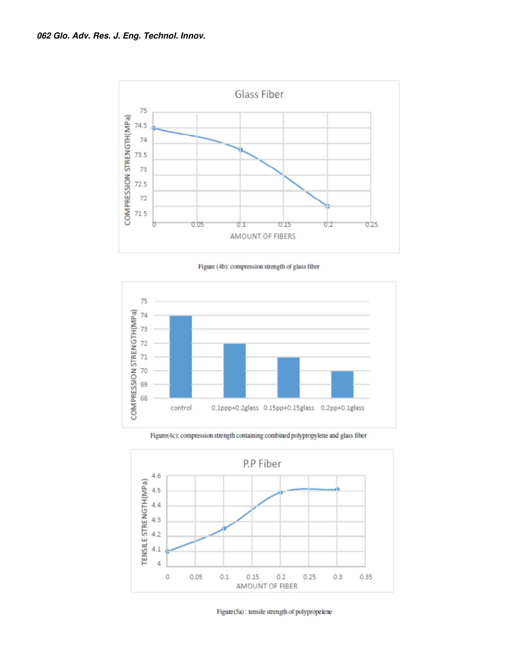

Figure (4b): compression strength of glass fiber



Figure(4c): compression strength containing combined polypropylene and glass fiber



Figure(5a): tensile strength of polypropelene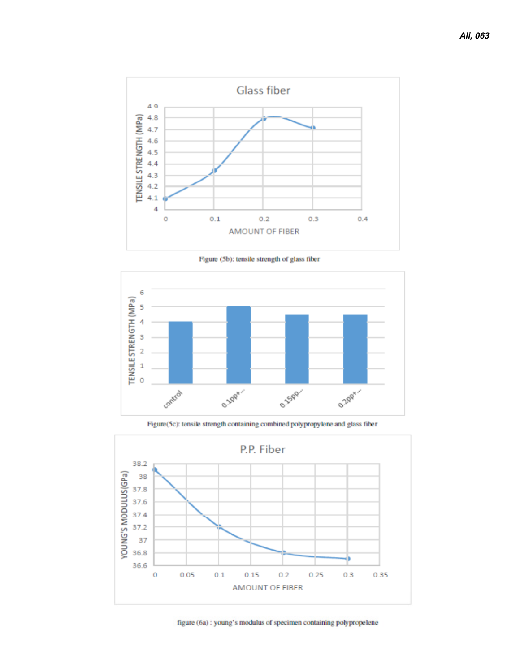

Figure (5b): tensile strength of glass fiber



Figure(5c): tensile strength containing combined polypropylene and glass fiber



figure (6a) : young's modulus of specimen containing polypropelene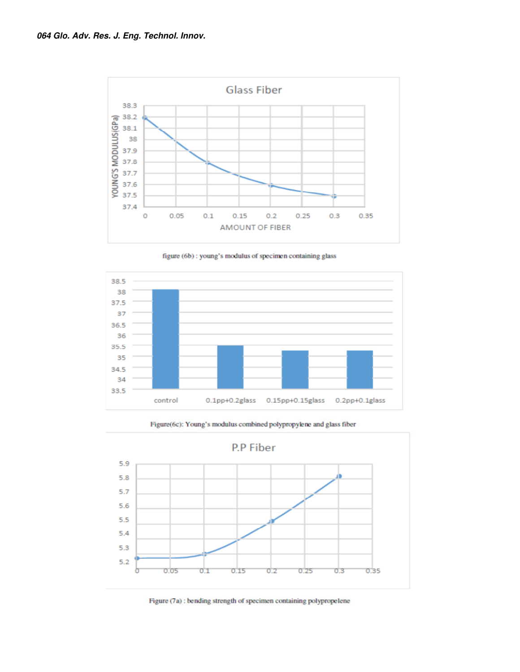

figure (6b) : young's modulus of specimen containing glass



Figure(6c): Young's modulus combined polypropylene and glass fiber



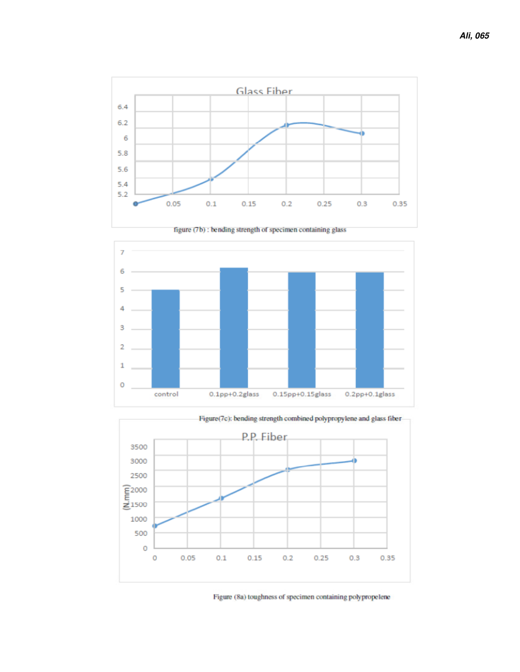



figure (7b) : bending strength of specimen containing glass



Figure (8a) toughness of specimen containing polypropelene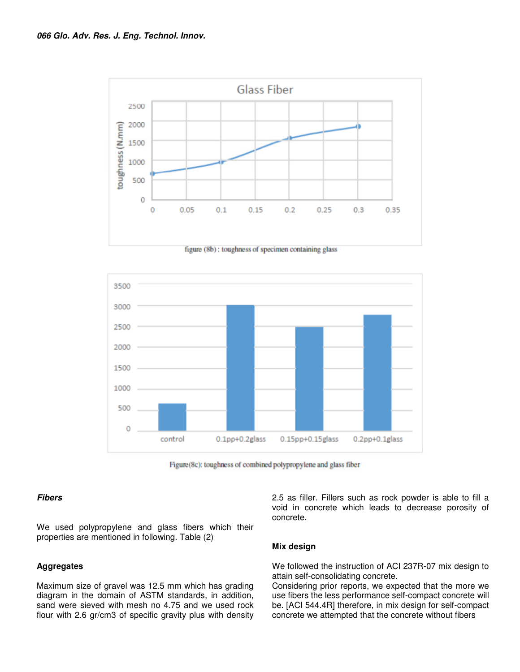

figure (8b): toughness of specimen containing glass



Figure(8c): toughness of combined polypropylene and glass fiber

#### **Fibers**

We used polypropylene and glass fibers which their properties are mentioned in following. Table (2)

#### **Aggregates**

Maximum size of gravel was 12.5 mm which has grading diagram in the domain of ASTM standards, in addition, sand were sieved with mesh no 4.75 and we used rock flour with 2.6 gr/cm3 of specific gravity plus with density 2.5 as filler. Fillers such as rock powder is able to fill a void in concrete which leads to decrease porosity of concrete.

#### **Mix design**

We followed the instruction of ACI 237R-07 mix design to attain self-consolidating concrete.

Considering prior reports, we expected that the more we use fibers the less performance self-compact concrete will be. [ACI 544.4R] therefore, in mix design for self-compact concrete we attempted that the concrete without fibers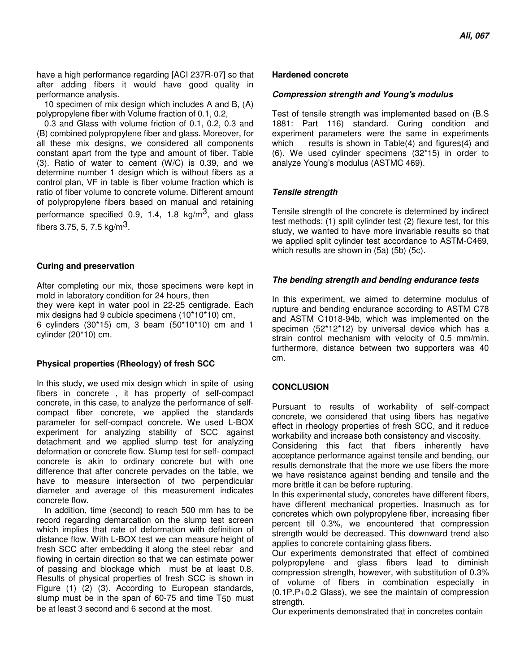have a high performance regarding [ACI 237R-07] so that after adding fibers it would have good quality in performance analysis.

10 specimen of mix design which includes A and B, (A) polypropylene fiber with Volume fraction of 0.1, 0.2,

0.3 and Glass with volume friction of 0.1, 0.2, 0.3 and (B) combined polypropylene fiber and glass. Moreover, for all these mix designs, we considered all components constant apart from the type and amount of fiber. Table (3). Ratio of water to cement (W/C) is 0.39, and we determine number 1 design which is without fibers as a control plan, VF in table is fiber volume fraction which is ratio of fiber volume to concrete volume. Different amount of polypropylene fibers based on manual and retaining performance specified 0.9, 1.4, 1.8  $\text{kg/m}^3$ , and glass fibers 3.75, 5, 7.5  $kg/m<sup>3</sup>$ .

#### **Curing and preservation**

After completing our mix, those specimens were kept in mold in laboratory condition for 24 hours, then they were kept in water pool in 22-25 centigrade. Each mix designs had 9 cubicle specimens (10\*10\*10) cm, 6 cylinders (30\*15) cm, 3 beam (50\*10\*10) cm and 1 cylinder (20\*10) cm.

#### **Physical properties (Rheology) of fresh SCC**

In this study, we used mix design which in spite of using fibers in concrete , it has property of self-compact concrete, in this case, to analyze the performance of selfcompact fiber concrete, we applied the standards parameter for self-compact concrete. We used L-BOX experiment for analyzing stability of SCC against detachment and we applied slump test for analyzing deformation or concrete flow. Slump test for self- compact concrete is akin to ordinary concrete but with one difference that after concrete pervades on the table, we have to measure intersection of two perpendicular diameter and average of this measurement indicates concrete flow.

In addition, time (second) to reach 500 mm has to be record regarding demarcation on the slump test screen which implies that rate of deformation with definition of distance flow. With L-BOX test we can measure height of fresh SCC after embedding it along the steel rebar and flowing in certain direction so that we can estimate power of passing and blockage which must be at least 0.8. Results of physical properties of fresh SCC is shown in Figure (1) (2) (3). According to European standards, slump must be in the span of 60-75 and time T50 must be at least 3 second and 6 second at the most.

#### **Hardened concrete**

#### **Compression strength and Young's modulus**

Test of tensile strength was implemented based on (B.S 1881: Part 116) standard. Curing condition and experiment parameters were the same in experiments which results is shown in Table(4) and figures(4) and (6). We used cylinder specimens (32\*15) in order to analyze Young's modulus (ASTMC 469).

### **Tensile strength**

Tensile strength of the concrete is determined by indirect test methods: (1) split cylinder test (2) flexure test, for this study, we wanted to have more invariable results so that we applied split cylinder test accordance to ASTM-C469, which results are shown in (5a) (5b) (5c).

### **The bending strength and bending endurance tests**

In this experiment, we aimed to determine modulus of rupture and bending endurance according to ASTM C78 and ASTM C1018-94b, which was implemented on the specimen (52\*12\*12) by universal device which has a strain control mechanism with velocity of 0.5 mm/min. furthermore, distance between two supporters was 40 cm.

# **CONCLUSION**

Pursuant to results of workability of self-compact concrete, we considered that using fibers has negative effect in rheology properties of fresh SCC, and it reduce workability and increase both consistency and viscosity.

Considering this fact that fibers inherently have acceptance performance against tensile and bending, our results demonstrate that the more we use fibers the more we have resistance against bending and tensile and the more brittle it can be before rupturing.

In this experimental study, concretes have different fibers, have different mechanical properties. Inasmuch as for concretes which own polypropylene fiber, increasing fiber percent till 0.3%, we encountered that compression strength would be decreased. This downward trend also applies to concrete containing glass fibers.

Our experiments demonstrated that effect of combined polypropylene and glass fibers lead to diminish compression strength, however, with substitution of 0.3% of volume of fibers in combination especially in (0.1P.P+0.2 Glass), we see the maintain of compression strength.

Our experiments demonstrated that in concretes contain